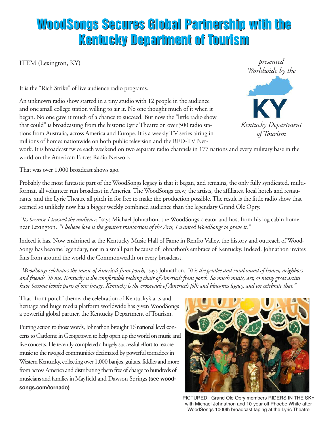## **WoodSongs Secures Global Partnership with the WoodSongs Secures Global Partnership with the Kentucky Department of Tourism Kentucky Department of Tourism**

ITEM (Lexington, KY)

It is the "Rich Strike" of live audience radio programs.

An unknown radio show started in a tiny studio with 12 people in the audience and one small college station willing to air it. No one thought much of it when it began. No one gave it much of a chance to succeed. But now the "little radio show that could" is broadcasting from the historic Lyric Theatre on over 500 radio stations from Australia, across America and Europe. It is a weekly TV series airing in millions of homes nationwide on both public television and the RFD-TV Net-



work. It is broadcast twice each weekend on two separate radio channels in 177 nations and every military base in the world on the American Forces Radio Network.

That was over 1,000 broadcast shows ago.

Probably the most fantastic part of the WoodSongs legacy is that it began, and remains, the only fully syndicated, multiformat, all volunteer run broadcast in America. The WoodSongs crew, the artists, the affiliates, local hotels and restaurants, and the Lyric Theatre all pitch in for free to make the production possible. The result is the little radio show that seemed so unlikely now has a bigger weekly combined audience than the legendary Grand Ole Opry.

*"It's because I trusted the audience,"* says Michael Johnathon, the WoodSongs creator and host from his log cabin home near Lexington. *"I believe love is the greatest transaction of the Arts, I wanted WoodSongs to prove it."*

Indeed it has. Now enshrined at the Kentucky Music Hall of Fame in Renfro Valley, the history and outreach of Wood-Songs has become legendary, not in a small part because of Johnathon's embrace of Kentucky. Indeed, Johnathon invites fans from around the world the Commonwealth on every broadcast.

"WoodSongs celebrates the music of America's front porch," says Johnathon. "It is the gentlee and rural sound of homes, neighbors and friends. To me, Kentucky is the comfortable rocking chair of America's front porch. So much music, art, so many great artists have become iconic parts of our image. Kentucky is the crossroads of America's folk and bluegrass legacy, and we celebrate that."

That "front porch" theme, the celebration of Kentucky's arts and heritage and huge media platform worldwide has given WoodSongs a powerful global partner, the Kentucky Department of Tourism.

Putting action to those words, Johnathon brought 16 national level concerts to Cardome in Georgetown to help open up the world on music and live concerts. He recently completed a hugely successful effort to restore music to the ravaged communities decimated by powerful tornadoes in Western Kentucky, collecting over 1,000 banjos, guitars, fiddles and more from across America and distributing them free of charge to hundreds of musicians and families in Mayfield and Dawson Springs (see wood**songs.com/tornado)**



PICTURED: Grand Ole Opry members RIDERS IN THE SKY with Michael Johnathon and 10-year olf Phoebe White after WoodSongs 1000th broadcast taping at the Lyric Theatre